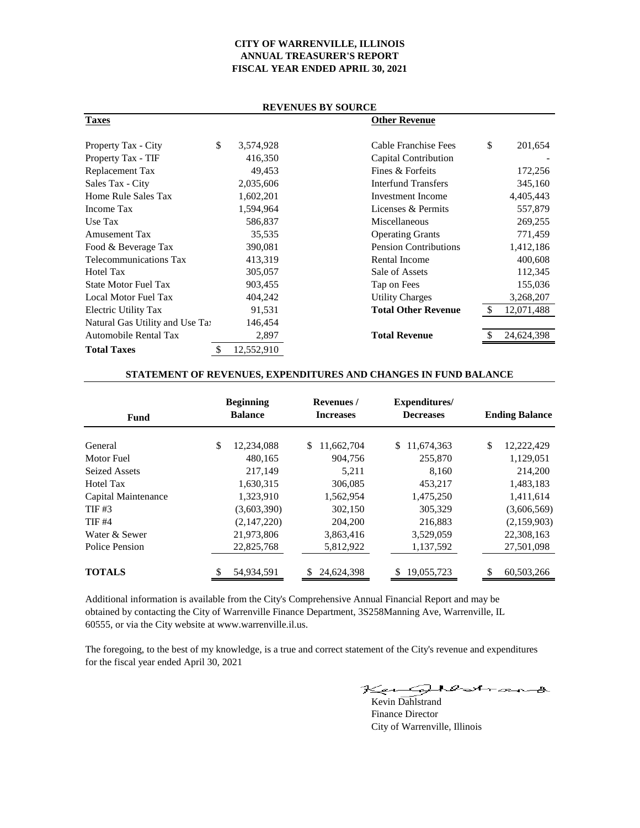# **CITY OF WARRENVILLE, ILLINOIS ANNUAL TREASURER'S REPORT FISCAL YEAR ENDED APRIL 30, 2021**

| <b>REVENUES BY SOURCE</b>       |    |            |                              |    |            |  |
|---------------------------------|----|------------|------------------------------|----|------------|--|
| <b>Taxes</b>                    |    |            | <b>Other Revenue</b>         |    |            |  |
| Property Tax - City             | \$ | 3,574,928  | Cable Franchise Fees         | \$ | 201,654    |  |
| Property Tax - TIF              |    | 416,350    | Capital Contribution         |    |            |  |
| Replacement Tax                 |    | 49,453     | Fines & Forfeits             |    | 172,256    |  |
| Sales Tax - City                |    | 2,035,606  | <b>Interfund Transfers</b>   |    | 345,160    |  |
| Home Rule Sales Tax             |    | 1,602,201  | Investment Income            |    | 4,405,443  |  |
| Income Tax                      |    | 1,594,964  | Licenses & Permits           |    | 557,879    |  |
| Use Tax                         |    | 586,837    | Miscellaneous                |    | 269,255    |  |
| Amusement Tax                   |    | 35,535     | <b>Operating Grants</b>      |    | 771,459    |  |
| Food & Beverage Tax             |    | 390,081    | <b>Pension Contributions</b> |    | 1,412,186  |  |
| Telecommunications Tax          |    | 413,319    | Rental Income                |    | 400,608    |  |
| <b>Hotel Tax</b>                |    | 305,057    | Sale of Assets               |    | 112,345    |  |
| <b>State Motor Fuel Tax</b>     |    | 903,455    | Tap on Fees                  |    | 155,036    |  |
| Local Motor Fuel Tax            |    | 404,242    | <b>Utility Charges</b>       |    | 3,268,207  |  |
| Electric Utility Tax            |    | 91,531     | <b>Total Other Revenue</b>   |    | 12,071,488 |  |
| Natural Gas Utility and Use Tay |    | 146,454    |                              |    |            |  |
| <b>Automobile Rental Tax</b>    |    | 2,897      | <b>Total Revenue</b>         |    | 24,624,398 |  |
| <b>Total Taxes</b>              | \$ | 12,552,910 |                              |    |            |  |

## **STATEMENT OF REVENUES, EXPENDITURES AND CHANGES IN FUND BALANCE**

| <b>Fund</b>          | <b>Beginning</b><br><b>Balance</b> | Revenues /<br><b>Increases</b> | Expenditures/<br><b>Decreases</b><br>\$<br>11,674,363 | <b>Ending Balance</b> |  |
|----------------------|------------------------------------|--------------------------------|-------------------------------------------------------|-----------------------|--|
| General              | \$<br>12,234,088                   | \$<br>11,662,704               |                                                       | \$<br>12,222,429      |  |
| Motor Fuel           | 480.165                            | 904.756                        | 255,870                                               | 1,129,051             |  |
| <b>Seized Assets</b> | 217,149                            | 5,211                          | 8,160                                                 | 214,200               |  |
| Hotel Tax            | 1,630,315                          | 306,085                        | 453,217                                               | 1,483,183             |  |
| Capital Maintenance  | 1,323,910                          | 1,562,954                      | 1,475,250                                             | 1,411,614             |  |
| TIF #3               | (3,603,390)                        | 302,150                        | 305.329                                               | (3,606,569)           |  |
| <b>TIF #4</b>        | (2,147,220)                        | 204,200                        | 216,883                                               | (2,159,903)           |  |
| Water & Sewer        | 21,973,806                         | 3,863,416                      | 3,529,059                                             | 22,308,163            |  |
| Police Pension       | 22,825,768                         | 5,812,922                      | 1,137,592                                             | 27,501,098            |  |
| <b>TOTALS</b>        | 54,934,591                         | 24,624,398                     | 19,055,723                                            | \$<br>60,503,266      |  |

Additional information is available from the City's Comprehensive Annual Financial Report and may be obtained by contacting the City of Warrenville Finance Department, 3S258Manning Ave, Warrenville, IL 60555, or via the City website at www.warrenville.il.us.

The foregoing, to the best of my knowledge, is a true and correct statement of the City's revenue and expenditures for the fiscal year ended April 30, 2021

Keun Dahlstrand

Finance Director City of Warrenville, Illinois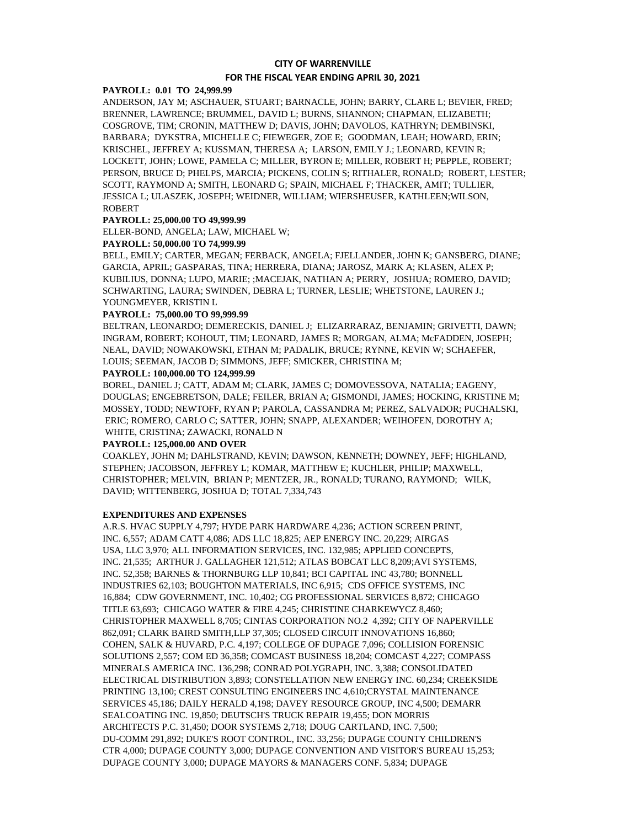# **CITY OF WARRENVILLE FOR THE FISCAL YEAR ENDING APRIL 30, 2021**

## **PAYROLL: 0.01 TO 24,999.99**

ANDERSON, JAY M; ASCHAUER, STUART; BARNACLE, JOHN; BARRY, CLARE L; BEVIER, FRED; BRENNER, LAWRENCE; BRUMMEL, DAVID L; BURNS, SHANNON; CHAPMAN, ELIZABETH; COSGROVE, TIM; CRONIN, MATTHEW D; DAVIS, JOHN; DAVOLOS, KATHRYN; DEMBINSKI, BARBARA; DYKSTRA, MICHELLE C; FIEWEGER, ZOE E; GOODMAN, LEAH; HOWARD, ERIN; KRISCHEL, JEFFREY A; KUSSMAN, THERESA A; LARSON, EMILY J.; LEONARD, KEVIN R; LOCKETT, JOHN; LOWE, PAMELA C; MILLER, BYRON E; MILLER, ROBERT H; PEPPLE, ROBERT; PERSON, BRUCE D; PHELPS, MARCIA; PICKENS, COLIN S; RITHALER, RONALD; ROBERT, LESTER; SCOTT, RAYMOND A; SMITH, LEONARD G; SPAIN, MICHAEL F; THACKER, AMIT; TULLIER, JESSICA L; ULASZEK, JOSEPH; WEIDNER, WILLIAM; WIERSHEUSER, KATHLEEN;WILSON, ROBERT

## **PAYROLL: 25,000.00 TO 49,999.99**

ELLER-BOND, ANGELA; LAW, MICHAEL W;

## **PAYROLL: 50,000.00 TO 74,999.99**

BELL, EMILY; CARTER, MEGAN; FERBACK, ANGELA; FJELLANDER, JOHN K; GANSBERG, DIANE; GARCIA, APRIL; GASPARAS, TINA; HERRERA, DIANA; JAROSZ, MARK A; KLASEN, ALEX P; KUBILIUS, DONNA; LUPO, MARIE; ;MACEJAK, NATHAN A; PERRY, JOSHUA; ROMERO, DAVID; SCHWARTING, LAURA; SWINDEN, DEBRA L; TURNER, LESLIE; WHETSTONE, LAUREN J.; YOUNGMEYER, KRISTIN L

#### **PAYROLL: 75,000.00 TO 99,999.99**

BELTRAN, LEONARDO; DEMERECKIS, DANIEL J; ELIZARRARAZ, BENJAMIN; GRIVETTI, DAWN; INGRAM, ROBERT; KOHOUT, TIM; LEONARD, JAMES R; MORGAN, ALMA; McFADDEN, JOSEPH; NEAL, DAVID; NOWAKOWSKI, ETHAN M; PADALIK, BRUCE; RYNNE, KEVIN W; SCHAEFER, LOUIS; SEEMAN, JACOB D; SIMMONS, JEFF; SMICKER, CHRISTINA M;

#### **PAYROLL: 100,000.00 TO 124,999.99**

BOREL, DANIEL J; CATT, ADAM M; CLARK, JAMES C; DOMOVESSOVA, NATALIA; EAGENY, DOUGLAS; ENGEBRETSON, DALE; FEILER, BRIAN A; GISMONDI, JAMES; HOCKING, KRISTINE M; MOSSEY, TODD; NEWTOFF, RYAN P; PAROLA, CASSANDRA M; PEREZ, SALVADOR; PUCHALSKI, ERIC; ROMERO, CARLO C; SATTER, JOHN; SNAPP, ALEXANDER; WEIHOFEN, DOROTHY A; WHITE, CRISTINA; ZAWACKI, RONALD N

## **PAYROLL: 125,000.00 AND OVER**

COAKLEY, JOHN M; DAHLSTRAND, KEVIN; DAWSON, KENNETH; DOWNEY, JEFF; HIGHLAND, STEPHEN; JACOBSON, JEFFREY L; KOMAR, MATTHEW E; KUCHLER, PHILIP; MAXWELL, CHRISTOPHER; MELVIN, BRIAN P; MENTZER, JR., RONALD; TURANO, RAYMOND; WILK, DAVID; WITTENBERG, JOSHUA D; TOTAL 7,334,743

## **EXPENDITURES AND EXPENSES**

A.R.S. HVAC SUPPLY 4,797; HYDE PARK HARDWARE 4,236; ACTION SCREEN PRINT, INC. 6,557; ADAM CATT 4,086; ADS LLC 18,825; AEP ENERGY INC. 20,229; AIRGAS USA, LLC 3,970; ALL INFORMATION SERVICES, INC. 132,985; APPLIED CONCEPTS, INC. 21,535; ARTHUR J. GALLAGHER 121,512; ATLAS BOBCAT LLC 8,209;AVI SYSTEMS, INC. 52,358; BARNES & THORNBURG LLP 10,841; BCI CAPITAL INC 43,780; BONNELL INDUSTRIES 62,103; BOUGHTON MATERIALS, INC 6,915; CDS OFFICE SYSTEMS, INC 16,884; CDW GOVERNMENT, INC. 10,402; CG PROFESSIONAL SERVICES 8,872; CHICAGO TITLE 63,693; CHICAGO WATER & FIRE 4,245; CHRISTINE CHARKEWYCZ 8,460; CHRISTOPHER MAXWELL 8,705; CINTAS CORPORATION NO.2 4,392; CITY OF NAPERVILLE 862,091; CLARK BAIRD SMITH,LLP 37,305; CLOSED CIRCUIT INNOVATIONS 16,860; COHEN, SALK & HUVARD, P.C. 4,197; COLLEGE OF DUPAGE 7,096; COLLISION FORENSIC SOLUTIONS 2,557; COM ED 36,358; COMCAST BUSINESS 18,204; COMCAST 4,227; COMPASS MINERALS AMERICA INC. 136,298; CONRAD POLYGRAPH, INC. 3,388; CONSOLIDATED ELECTRICAL DISTRIBUTION 3,893; CONSTELLATION NEW ENERGY INC. 60,234; CREEKSIDE PRINTING 13,100; CREST CONSULTING ENGINEERS INC 4,610;CRYSTAL MAINTENANCE SERVICES 45,186; DAILY HERALD 4,198; DAVEY RESOURCE GROUP, INC 4,500; DEMARR SEALCOATING INC. 19,850; DEUTSCH'S TRUCK REPAIR 19,455; DON MORRIS ARCHITECTS P.C. 31,450; DOOR SYSTEMS 2,718; DOUG CARTLAND, INC. 7,500; DU-COMM 291,892; DUKE'S ROOT CONTROL, INC. 33,256; DUPAGE COUNTY CHILDREN'S CTR 4,000; DUPAGE COUNTY 3,000; DUPAGE CONVENTION AND VISITOR'S BUREAU 15,253; DUPAGE COUNTY 3,000; DUPAGE MAYORS & MANAGERS CONF. 5,834; DUPAGE